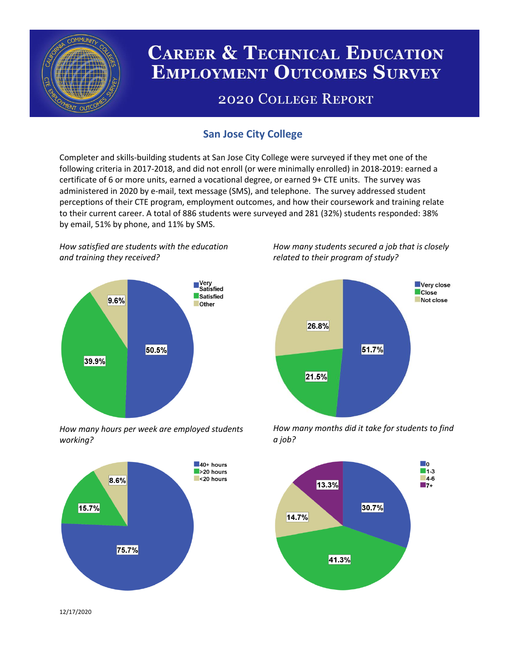

# **CAREER & TECHNICAL EDUCATION EMPLOYMENT OUTCOMES SURVEY**

## **2020 COLLEGE REPORT**

## **San Jose City College**

Completer and skills-building students at San Jose City College were surveyed if they met one of the following criteria in 2017-2018, and did not enroll (or were minimally enrolled) in 2018-2019: earned a certificate of 6 or more units, earned a vocational degree, or earned 9+ CTE units. The survey was administered in 2020 by e-mail, text message (SMS), and telephone. The survey addressed student perceptions of their CTE program, employment outcomes, and how their coursework and training relate to their current career. A total of 886 students were surveyed and 281 (32%) students responded: 38% by email, 51% by phone, and 11% by SMS.

*How satisfied are students with the education and training they received?*



*How many hours per week are employed students working?*



*How many students secured a job that is closely related to their program of study?*



*How many months did it take for students to find a job?*



12/17/2020